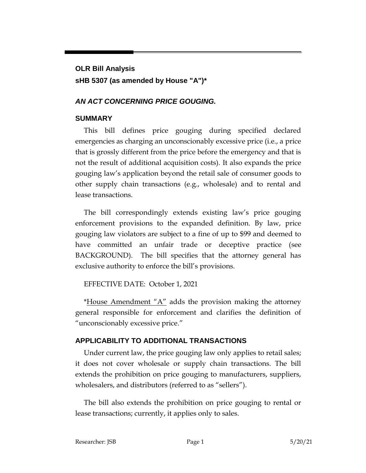# **OLR Bill Analysis sHB 5307 (as amended by House "A")\***

## *AN ACT CONCERNING PRICE GOUGING.*

### **SUMMARY**

This bill defines price gouging during specified declared emergencies as charging an unconscionably excessive price (i.e., a price that is grossly different from the price before the emergency and that is not the result of additional acquisition costs). It also expands the price gouging law's application beyond the retail sale of consumer goods to other supply chain transactions (e.g., wholesale) and to rental and lease transactions.

The bill correspondingly extends existing law's price gouging enforcement provisions to the expanded definition. By law, price gouging law violators are subject to a fine of up to \$99 and deemed to have committed an unfair trade or deceptive practice (see BACKGROUND). The bill specifies that the attorney general has exclusive authority to enforce the bill's provisions.

## EFFECTIVE DATE: October 1, 2021

\*House Amendment "A" adds the provision making the attorney general responsible for enforcement and clarifies the definition of "unconscionably excessive price."

## **APPLICABILITY TO ADDITIONAL TRANSACTIONS**

Under current law, the price gouging law only applies to retail sales; it does not cover wholesale or supply chain transactions. The bill extends the prohibition on price gouging to manufacturers, suppliers, wholesalers, and distributors (referred to as "sellers").

The bill also extends the prohibition on price gouging to rental or lease transactions; currently, it applies only to sales.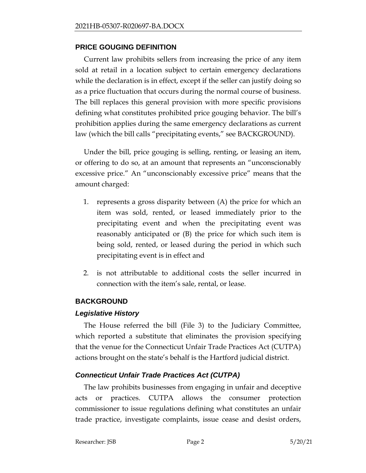#### **PRICE GOUGING DEFINITION**

Current law prohibits sellers from increasing the price of any item sold at retail in a location subject to certain emergency declarations while the declaration is in effect, except if the seller can justify doing so as a price fluctuation that occurs during the normal course of business. The bill replaces this general provision with more specific provisions defining what constitutes prohibited price gouging behavior. The bill's prohibition applies during the same emergency declarations as current law (which the bill calls "precipitating events," see BACKGROUND).

Under the bill, price gouging is selling, renting, or leasing an item, or offering to do so, at an amount that represents an "unconscionably excessive price." An "unconscionably excessive price" means that the amount charged:

- 1. represents a gross disparity between (A) the price for which an item was sold, rented, or leased immediately prior to the precipitating event and when the precipitating event was reasonably anticipated or (B) the price for which such item is being sold, rented, or leased during the period in which such precipitating event is in effect and
- 2. is not attributable to additional costs the seller incurred in connection with the item's sale, rental, or lease.

#### **BACKGROUND**

#### *Legislative History*

The House referred the bill (File 3) to the Judiciary Committee, which reported a substitute that eliminates the provision specifying that the venue for the Connecticut Unfair Trade Practices Act (CUTPA) actions brought on the state's behalf is the Hartford judicial district.

#### *Connecticut Unfair Trade Practices Act (CUTPA)*

The law prohibits businesses from engaging in unfair and deceptive acts or practices. CUTPA allows the consumer protection commissioner to issue regulations defining what constitutes an unfair trade practice, investigate complaints, issue cease and desist orders,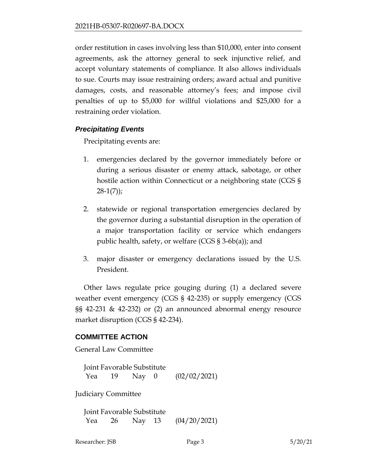order restitution in cases involving less than \$10,000, enter into consent agreements, ask the attorney general to seek injunctive relief, and accept voluntary statements of compliance. It also allows individuals to sue. Courts may issue restraining orders; award actual and punitive damages, costs, and reasonable attorney's fees; and impose civil penalties of up to \$5,000 for willful violations and \$25,000 for a restraining order violation.

#### *Precipitating Events*

Precipitating events are:

- 1. emergencies declared by the governor immediately before or during a serious disaster or enemy attack, sabotage, or other hostile action within Connecticut or a neighboring state (CGS §  $28-1(7)$ ;
- 2. statewide or regional transportation emergencies declared by the governor during a substantial disruption in the operation of a major transportation facility or service which endangers public health, safety, or welfare (CGS § 3-6b(a)); and
- 3. major disaster or emergency declarations issued by the U.S. President.

Other laws regulate price gouging during (1) a declared severe weather event emergency (CGS § 42-235) or supply emergency (CGS §§ 42-231 & 42-232) or (2) an announced abnormal energy resource market disruption (CGS § 42-234).

#### **COMMITTEE ACTION**

General Law Committee

Joint Favorable Substitute Yea 19 Nay 0 (02/02/2021)

Judiciary Committee

Joint Favorable Substitute Yea 26 Nay 13 (04/20/2021)